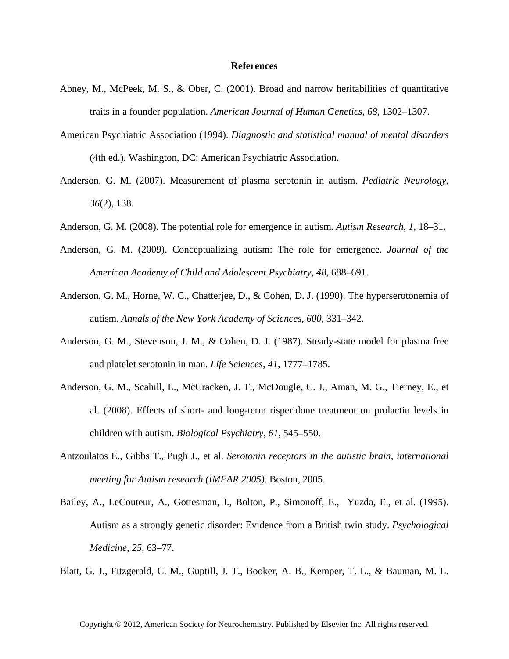## **References**

- Abney, M., McPeek, M. S., & Ober, C. (2001). Broad and narrow heritabilities of quantitative traits in a founder population. *American Journal of Human Genetics*, *68*, 1302–1307.
- American Psychiatric Association (1994). *Diagnostic and statistical manual of mental disorders* (4th ed.). Washington, DC: American Psychiatric Association.
- Anderson, G. M. (2007). Measurement of plasma serotonin in autism. *Pediatric Neurology*, *36*(2), 138.
- Anderson, G. M. (2008). The potential role for emergence in autism. *Autism Research*, *1*, 18–31.
- Anderson, G. M. (2009). Conceptualizing autism: The role for emergence. *Journal of the American Academy of Child and Adolescent Psychiatry*, *48*, 688–691.
- Anderson, G. M., Horne, W. C., Chatterjee, D., & Cohen, D. J. (1990). The hyperserotonemia of autism. *Annals of the New York Academy of Sciences*, *600*, 331–342.
- Anderson, G. M., Stevenson, J. M., & Cohen, D. J. (1987). Steady-state model for plasma free and platelet serotonin in man. *Life Sciences*, *41*, 1777–1785.
- Anderson, G. M., Scahill, L., McCracken, J. T., McDougle, C. J., Aman, M. G., Tierney, E., et al. (2008). Effects of short- and long-term risperidone treatment on prolactin levels in children with autism. *Biological Psychiatry*, *61*, 545–550.
- Antzoulatos E., Gibbs T., Pugh J., et al. *Serotonin receptors in the autistic brain, international meeting for Autism research (IMFAR 2005)*. Boston, 2005.
- Bailey, A., LeCouteur, A., Gottesman, I., Bolton, P., Simonoff, E., Yuzda, E., et al. (1995). Autism as a strongly genetic disorder: Evidence from a British twin study. *Psychological Medicine*, *25*, 63–77.

Blatt, G. J., Fitzgerald, C. M., Guptill, J. T., Booker, A. B., Kemper, T. L., & Bauman, M. L.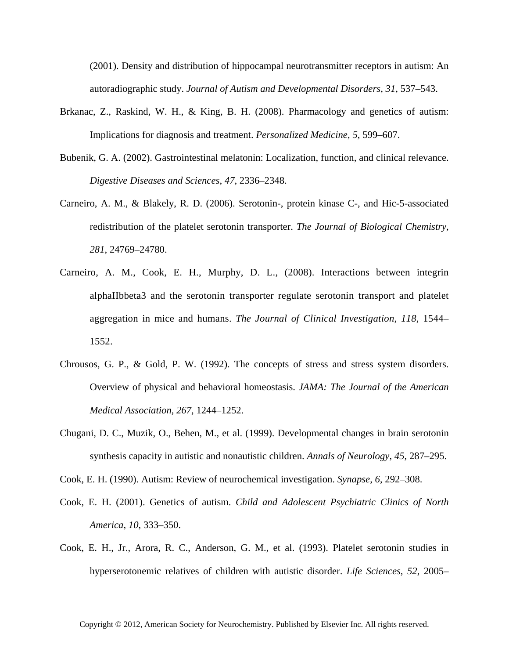(2001). Density and distribution of hippocampal neurotransmitter receptors in autism: An autoradiographic study. *Journal of Autism and Developmental Disorders*, *31*, 537–543.

- Brkanac, Z., Raskind, W. H., & King, B. H. (2008). Pharmacology and genetics of autism: Implications for diagnosis and treatment. *Personalized Medicine*, *5*, 599–607.
- Bubenik, G. A. (2002). Gastrointestinal melatonin: Localization, function, and clinical relevance. *Digestive Diseases and Sciences*, *47*, 2336–2348.
- Carneiro, A. M., & Blakely, R. D. (2006). Serotonin-, protein kinase C-, and Hic-5-associated redistribution of the platelet serotonin transporter. *The Journal of Biological Chemistry*, *281*, 24769–24780.
- Carneiro, A. M., Cook, E. H., Murphy, D. L., (2008). Interactions between integrin alphaIIbbeta3 and the serotonin transporter regulate serotonin transport and platelet aggregation in mice and humans. *The Journal of Clinical Investigation*, *118*, 1544– 1552.
- Chrousos, G. P., & Gold, P. W. (1992). The concepts of stress and stress system disorders. Overview of physical and behavioral homeostasis. *JAMA: The Journal of the American Medical Association*, *267*, 1244–1252.
- Chugani, D. C., Muzik, O., Behen, M., et al. (1999). Developmental changes in brain serotonin synthesis capacity in autistic and nonautistic children. *Annals of Neurology*, *45*, 287–295.
- Cook, E. H. (1990). Autism: Review of neurochemical investigation. *Synapse*, *6*, 292–308.
- Cook, E. H. (2001). Genetics of autism. *Child and Adolescent Psychiatric Clinics of North America*, *10*, 333–350.
- Cook, E. H., Jr., Arora, R. C., Anderson, G. M., et al. (1993). Platelet serotonin studies in hyperserotonemic relatives of children with autistic disorder. *Life Sciences*, *52*, 2005–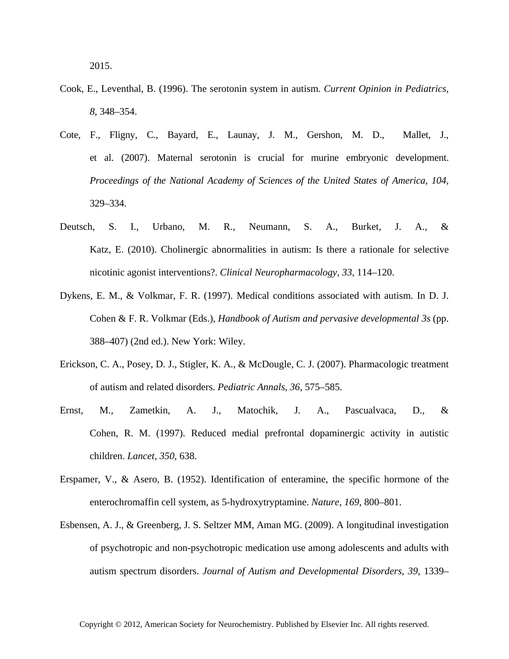- Cook, E., Leventhal, B. (1996). The serotonin system in autism. *Current Opinion in Pediatrics*, *8*, 348–354.
- Cote, F., Fligny, C., Bayard, E., Launay, J. M., Gershon, M. D., Mallet, J., et al. (2007). Maternal serotonin is crucial for murine embryonic development. *Proceedings of the National Academy of Sciences of the United States of America*, *104*, 329–334.
- Deutsch, S. I., Urbano, M. R., Neumann, S. A., Burket, J. A., & Katz, E. (2010). Cholinergic abnormalities in autism: Is there a rationale for selective nicotinic agonist interventions?. *Clinical Neuropharmacology*, *33*, 114–120.
- Dykens, E. M., & Volkmar, F. R. (1997). Medical conditions associated with autism. In D. J. Cohen & F. R. Volkmar (Eds.), *Handbook of Autism and pervasive developmental 3s* (pp. 388–407) (2nd ed.). New York: Wiley.
- Erickson, C. A., Posey, D. J., Stigler, K. A., & McDougle, C. J. (2007). Pharmacologic treatment of autism and related disorders. *Pediatric Annals*, *36*, 575–585.
- Ernst, M., Zametkin, A. J., Matochik, J. A., Pascualvaca, D., & Cohen, R. M. (1997). Reduced medial prefrontal dopaminergic activity in autistic children. *Lancet*, *350*, 638.
- Erspamer, V., & Asero, B. (1952). Identification of enteramine, the specific hormone of the enterochromaffin cell system, as 5-hydroxytryptamine. *Nature*, *169*, 800–801.
- Esbensen, A. J., & Greenberg, J. S. Seltzer MM, Aman MG. (2009). A longitudinal investigation of psychotropic and non-psychotropic medication use among adolescents and adults with autism spectrum disorders. *Journal of Autism and Developmental Disorders*, *39*, 1339–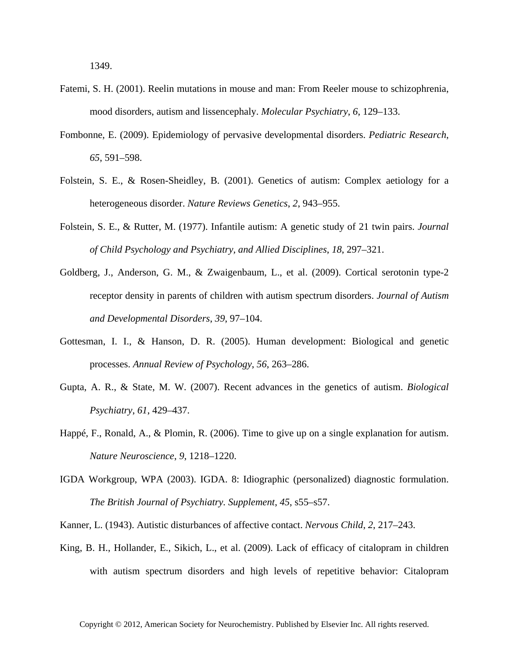- Fatemi, S. H. (2001). Reelin mutations in mouse and man: From Reeler mouse to schizophrenia, mood disorders, autism and lissencephaly. *Molecular Psychiatry*, *6*, 129–133.
- Fombonne, E. (2009). Epidemiology of pervasive developmental disorders. *Pediatric Research*, *65*, 591–598.
- Folstein, S. E., & Rosen-Sheidley, B. (2001). Genetics of autism: Complex aetiology for a heterogeneous disorder. *Nature Reviews Genetics*, *2*, 943–955.
- Folstein, S. E., & Rutter, M. (1977). Infantile autism: A genetic study of 21 twin pairs. *Journal of Child Psychology and Psychiatry, and Allied Disciplines*, *18*, 297–321.
- Goldberg, J., Anderson, G. M., & Zwaigenbaum, L., et al. (2009). Cortical serotonin type-2 receptor density in parents of children with autism spectrum disorders. *Journal of Autism and Developmental Disorders*, *39*, 97–104.
- Gottesman, I. I., & Hanson, D. R. (2005). Human development: Biological and genetic processes. *Annual Review of Psychology*, *56*, 263–286.
- Gupta, A. R., & State, M. W. (2007). Recent advances in the genetics of autism. *Biological Psychiatry*, *61*, 429–437.
- Happé, F., Ronald, A., & Plomin, R. (2006). Time to give up on a single explanation for autism. *Nature Neuroscience*, *9*, 1218–1220.
- IGDA Workgroup, WPA (2003). IGDA. 8: Idiographic (personalized) diagnostic formulation. *The British Journal of Psychiatry. Supplement*, *45*, s55–s57.
- Kanner, L. (1943). Autistic disturbances of affective contact. *Nervous Child*, *2*, 217–243.
- King, B. H., Hollander, E., Sikich, L., et al. (2009). Lack of efficacy of citalopram in children with autism spectrum disorders and high levels of repetitive behavior: Citalopram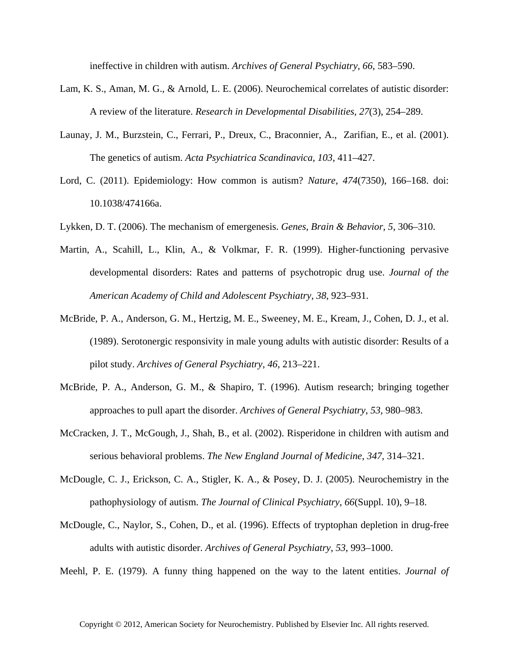ineffective in children with autism. *Archives of General Psychiatry*, *66*, 583–590.

- Lam, K. S., Aman, M. G., & Arnold, L. E. (2006). Neurochemical correlates of autistic disorder: A review of the literature. *Research in Developmental Disabilities*, *27*(3), 254–289.
- Launay, J. M., Burzstein, C., Ferrari, P., Dreux, C., Braconnier, A., Zarifian, E., et al. (2001). The genetics of autism. *Acta Psychiatrica Scandinavica*, *103*, 411–427.
- Lord, C. (2011). Epidemiology: How common is autism? *Nature*, *474*(7350), 166–168. doi: 10.1038/474166a.
- Lykken, D. T. (2006). The mechanism of emergenesis. *Genes, Brain & Behavior*, *5*, 306–310.
- Martin, A., Scahill, L., Klin, A., & Volkmar, F. R. (1999). Higher-functioning pervasive developmental disorders: Rates and patterns of psychotropic drug use. *Journal of the American Academy of Child and Adolescent Psychiatry*, *38*, 923–931.
- McBride, P. A., Anderson, G. M., Hertzig, M. E., Sweeney, M. E., Kream, J., Cohen, D. J., et al. (1989). Serotonergic responsivity in male young adults with autistic disorder: Results of a pilot study. *Archives of General Psychiatry*, *46*, 213–221.
- McBride, P. A., Anderson, G. M., & Shapiro, T. (1996). Autism research; bringing together approaches to pull apart the disorder. *Archives of General Psychiatry*, *53*, 980–983.
- McCracken, J. T., McGough, J., Shah, B., et al. (2002). Risperidone in children with autism and serious behavioral problems. *The New England Journal of Medicine*, *347*, 314–321.
- McDougle, C. J., Erickson, C. A., Stigler, K. A., & Posey, D. J. (2005). Neurochemistry in the pathophysiology of autism. *The Journal of Clinical Psychiatry*, *66*(Suppl. 10), 9–18.
- McDougle, C., Naylor, S., Cohen, D., et al. (1996). Effects of tryptophan depletion in drug-free adults with autistic disorder. *Archives of General Psychiatry*, *53*, 993–1000.
- Meehl, P. E. (1979). A funny thing happened on the way to the latent entities. *Journal of*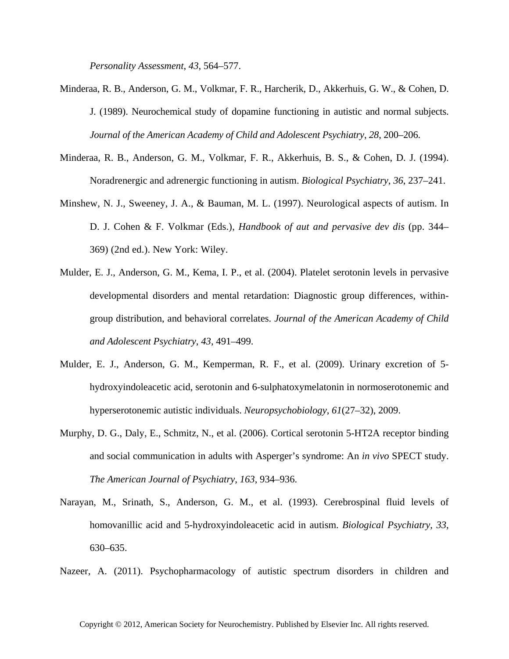*Personality Assessment*, *43*, 564–577.

- Minderaa, R. B., Anderson, G. M., Volkmar, F. R., Harcherik, D., Akkerhuis, G. W., & Cohen, D. J. (1989). Neurochemical study of dopamine functioning in autistic and normal subjects. *Journal of the American Academy of Child and Adolescent Psychiatry*, *28*, 200–206.
- Minderaa, R. B., Anderson, G. M., Volkmar, F. R., Akkerhuis, B. S., & Cohen, D. J. (1994). Noradrenergic and adrenergic functioning in autism. *Biological Psychiatry*, *36*, 237–241.
- Minshew, N. J., Sweeney, J. A., & Bauman, M. L. (1997). Neurological aspects of autism. In D. J. Cohen & F. Volkmar (Eds.), *Handbook of aut and pervasive dev dis* (pp. 344– 369) (2nd ed.). New York: Wiley.
- Mulder, E. J., Anderson, G. M., Kema, I. P., et al. (2004). Platelet serotonin levels in pervasive developmental disorders and mental retardation: Diagnostic group differences, withingroup distribution, and behavioral correlates. *Journal of the American Academy of Child and Adolescent Psychiatry*, *43*, 491–499.
- Mulder, E. J., Anderson, G. M., Kemperman, R. F., et al. (2009). Urinary excretion of 5 hydroxyindoleacetic acid, serotonin and 6-sulphatoxymelatonin in normoserotonemic and hyperserotonemic autistic individuals. *Neuropsychobiology*, *61*(27–32), 2009.
- Murphy, D. G., Daly, E., Schmitz, N., et al. (2006). Cortical serotonin 5-HT2A receptor binding and social communication in adults with Asperger's syndrome: An *in vivo* SPECT study. *The American Journal of Psychiatry*, *163*, 934–936.
- Narayan, M., Srinath, S., Anderson, G. M., et al. (1993). Cerebrospinal fluid levels of homovanillic acid and 5-hydroxyindoleacetic acid in autism. *Biological Psychiatry*, *33*, 630–635.
- Nazeer, A. (2011). Psychopharmacology of autistic spectrum disorders in children and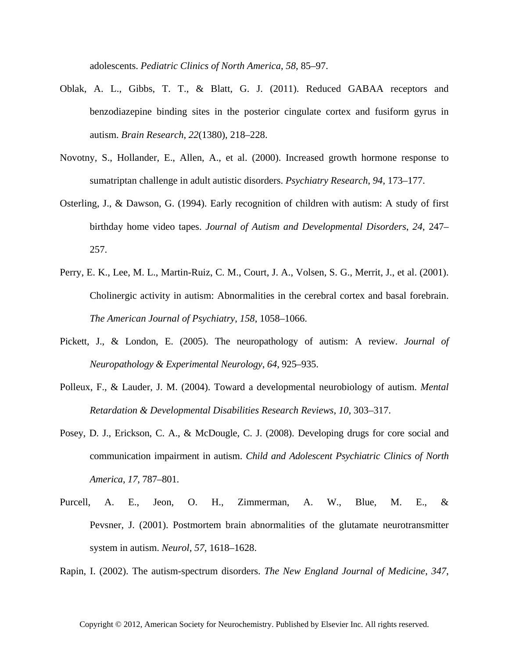adolescents. *Pediatric Clinics of North America*, *58*, 85–97.

- Oblak, A. L., Gibbs, T. T., & Blatt, G. J. (2011). Reduced GABAA receptors and benzodiazepine binding sites in the posterior cingulate cortex and fusiform gyrus in autism. *Brain Research*, *22*(1380), 218–228.
- Novotny, S., Hollander, E., Allen, A., et al. (2000). Increased growth hormone response to sumatriptan challenge in adult autistic disorders. *Psychiatry Research*, *94*, 173–177.
- Osterling, J., & Dawson, G. (1994). Early recognition of children with autism: A study of first birthday home video tapes. *Journal of Autism and Developmental Disorders*, *24*, 247– 257.
- Perry, E. K., Lee, M. L., Martin-Ruiz, C. M., Court, J. A., Volsen, S. G., Merrit, J., et al. (2001). Cholinergic activity in autism: Abnormalities in the cerebral cortex and basal forebrain. *The American Journal of Psychiatry*, *158*, 1058–1066.
- Pickett, J., & London, E. (2005). The neuropathology of autism: A review. *Journal of Neuropathology & Experimental Neurology*, *64*, 925–935.
- Polleux, F., & Lauder, J. M. (2004). Toward a developmental neurobiology of autism. *Mental Retardation & Developmental Disabilities Research Reviews*, *10*, 303–317.
- Posey, D. J., Erickson, C. A., & McDougle, C. J. (2008). Developing drugs for core social and communication impairment in autism. *Child and Adolescent Psychiatric Clinics of North America*, *17*, 787–801.
- Purcell, A. E., Jeon, O. H., Zimmerman, A. W., Blue, M. E., & Pevsner, J. (2001). Postmortem brain abnormalities of the glutamate neurotransmitter system in autism. *Neurol*, *57*, 1618–1628.

Rapin, I. (2002). The autism-spectrum disorders. *The New England Journal of Medicine*, *347*,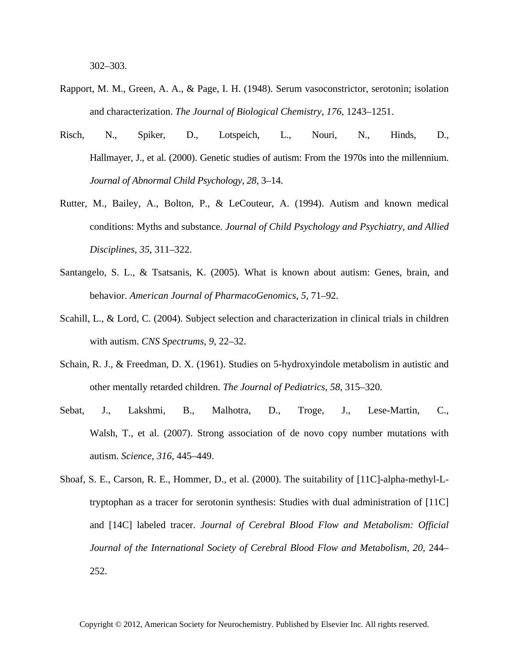302–303.

- Rapport, M. M., Green, A. A., & Page, I. H. (1948). Serum vasoconstrictor, serotonin; isolation and characterization. *The Journal of Biological Chemistry*, *176*, 1243–1251.
- Risch, N., Spiker, D., Lotspeich, L., Nouri, N., Hinds, D., Hallmayer, J., et al. (2000). Genetic studies of autism: From the 1970s into the millennium. *Journal of Abnormal Child Psychology*, *28*, 3–14.
- Rutter, M., Bailey, A., Bolton, P., & LeCouteur, A. (1994). Autism and known medical conditions: Myths and substance. *Journal of Child Psychology and Psychiatry, and Allied Disciplines*, *35*, 311–322.
- Santangelo, S. L., & Tsatsanis, K. (2005). What is known about autism: Genes, brain, and behavior. *American Journal of PharmacoGenomics*, *5*, 71–92.
- Scahill, L., & Lord, C. (2004). Subject selection and characterization in clinical trials in children with autism. *CNS Spectrums*, *9*, 22–32.
- Schain, R. J., & Freedman, D. X. (1961). Studies on 5-hydroxyindole metabolism in autistic and other mentally retarded children. *The Journal of Pediatrics*, *58*, 315–320.
- Sebat, J., Lakshmi, B., Malhotra, D., Troge, J., Lese-Martin, C., Walsh, T., et al. (2007). Strong association of de novo copy number mutations with autism. *Science*, *316*, 445–449.
- Shoaf, S. E., Carson, R. E., Hommer, D., et al. (2000). The suitability of [11C]-alpha-methyl-Ltryptophan as a tracer for serotonin synthesis: Studies with dual administration of [11C] and [14C] labeled tracer. *Journal of Cerebral Blood Flow and Metabolism: Official Journal of the International Society of Cerebral Blood Flow and Metabolism*, *20*, 244– 252.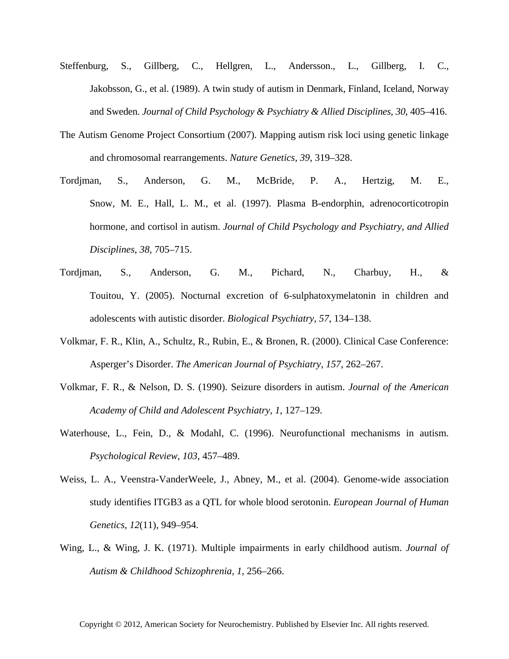- Steffenburg, S., Gillberg, C., Hellgren, L., Andersson., L., Gillberg, I. C., Jakobsson, G., et al. (1989). A twin study of autism in Denmark, Finland, Iceland, Norway and Sweden. *Journal of Child Psychology & Psychiatry & Allied Disciplines*, *30*, 405–416.
- The Autism Genome Project Consortium (2007). Mapping autism risk loci using genetic linkage and chromosomal rearrangements. *Nature Genetics*, *39*, 319–328.
- Tordjman, S., Anderson, G. M., McBride, P. A., Hertzig, M. E., Snow, M. E., Hall, L. M., et al. (1997). Plasma B-endorphin, adrenocorticotropin hormone, and cortisol in autism. *Journal of Child Psychology and Psychiatry, and Allied Disciplines*, *38*, 705–715.
- Tordjman, S., Anderson, G. M., Pichard, N., Charbuy, H., & Touitou, Y. (2005). Nocturnal excretion of 6-sulphatoxymelatonin in children and adolescents with autistic disorder. *Biological Psychiatry*, *57*, 134–138.
- Volkmar, F. R., Klin, A., Schultz, R., Rubin, E., & Bronen, R. (2000). Clinical Case Conference: Asperger's Disorder. *The American Journal of Psychiatry*, *157*, 262–267.
- Volkmar, F. R., & Nelson, D. S. (1990). Seizure disorders in autism. *Journal of the American Academy of Child and Adolescent Psychiatry*, *1*, 127–129.
- Waterhouse, L., Fein, D., & Modahl, C. (1996). Neurofunctional mechanisms in autism. *Psychological Review*, *103*, 457–489.
- Weiss, L. A., Veenstra-VanderWeele, J., Abney, M., et al. (2004). Genome-wide association study identifies ITGB3 as a QTL for whole blood serotonin. *European Journal of Human Genetics*, *12*(11), 949–954.
- Wing, L., & Wing, J. K. (1971). Multiple impairments in early childhood autism. *Journal of Autism & Childhood Schizophrenia*, *1*, 256–266.